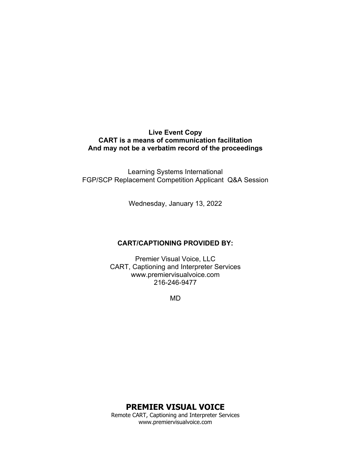#### **Live Event Copy CART is a means of communication facilitation And may not be a verbatim record of the proceedings**

Learning Systems International FGP/SCP Replacement Competition Applicant Q&A Session

Wednesday, January 13, 2022

#### **CART/CAPTIONING PROVIDED BY:**

Premier Visual Voice, LLC CART, Captioning and Interpreter Services www.premiervisualvoice.com 216-246-9477

MD

**PREMIER VISUAL VOICE**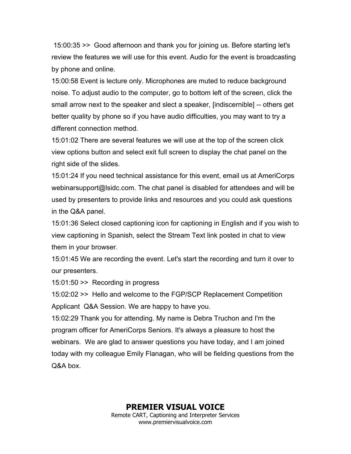15:00:35 >> Good afternoon and thank you for joining us. Before starting let's review the features we will use for this event. Audio for the event is broadcasting by phone and online.

15:00:58 Event is lecture only. Microphones are muted to reduce background noise. To adjust audio to the computer, go to bottom left of the screen, click the small arrow next to the speaker and slect a speaker, [indiscernible] -- others get better quality by phone so if you have audio difficulties, you may want to try a different connection method.

15:01:02 There are several features we will use at the top of the screen click view options button and select exit full screen to display the chat panel on the right side of the slides.

15:01:24 If you need technical assistance for this event, email us at AmeriCorps webinarsupport@lsidc.com. The chat panel is disabled for attendees and will be used by presenters to provide links and resources and you could ask questions in the Q&A panel.

15:01:36 Select closed captioning icon for captioning in English and if you wish to view captioning in Spanish, select the Stream Text link posted in chat to view them in your browser.

15:01:45 We are recording the event. Let's start the recording and turn it over to our presenters.

15:01:50 >> Recording in progress

15:02:02 >> Hello and welcome to the FGP/SCP Replacement Competition Applicant Q&A Session. We are happy to have you.

15:02:29 Thank you for attending. My name is Debra Truchon and I'm the program officer for AmeriCorps Seniors. It's always a pleasure to host the webinars. We are glad to answer questions you have today, and I am joined today with my colleague Emily Flanagan, who will be fielding questions from the Q&A box.

**PREMIER VISUAL VOICE**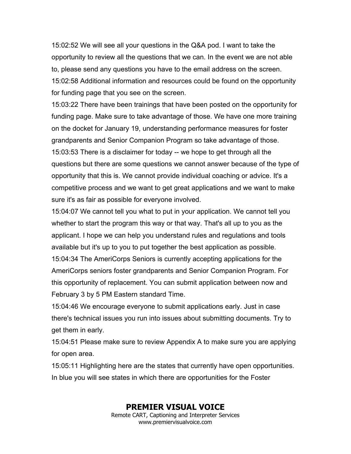15:02:52 We will see all your questions in the Q&A pod. I want to take the opportunity to review all the questions that we can. In the event we are not able to, please send any questions you have to the email address on the screen. 15:02:58 Additional information and resources could be found on the opportunity for funding page that you see on the screen.

15:03:22 There have been trainings that have been posted on the opportunity for funding page. Make sure to take advantage of those. We have one more training on the docket for January 19, understanding performance measures for foster grandparents and Senior Companion Program so take advantage of those. 15:03:53 There is a disclaimer for today -- we hope to get through all the questions but there are some questions we cannot answer because of the type of opportunity that this is. We cannot provide individual coaching or advice. It's a competitive process and we want to get great applications and we want to make sure it's as fair as possible for everyone involved.

15:04:07 We cannot tell you what to put in your application. We cannot tell you whether to start the program this way or that way. That's all up to you as the applicant. I hope we can help you understand rules and regulations and tools available but it's up to you to put together the best application as possible. 15:04:34 The AmeriCorps Seniors is currently accepting applications for the AmeriCorps seniors foster grandparents and Senior Companion Program. For this opportunity of replacement. You can submit application between now and February 3 by 5 PM Eastern standard Time.

15:04:46 We encourage everyone to submit applications early. Just in case there's technical issues you run into issues about submitting documents. Try to get them in early.

15:04:51 Please make sure to review Appendix A to make sure you are applying for open area.

15:05:11 Highlighting here are the states that currently have open opportunities. In blue you will see states in which there are opportunities for the Foster

**PREMIER VISUAL VOICE**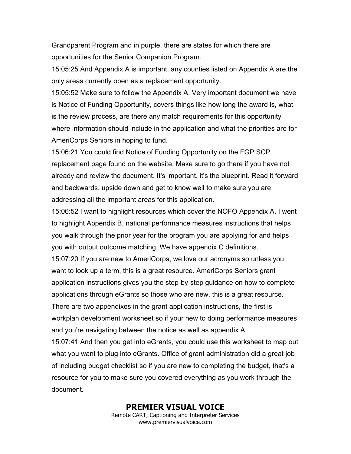Grandparent Program and in purple, there are states for which there are opportunities for the Senior Companion Program.

15:05:25 And Appendix A is important, any counties listed on Appendix A are the only areas currently open as a replacement opportunity.

15:05:52 Make sure to follow the Appendix A. Very important document we have is Notice of Funding Opportunity, covers things like how long the award is, what is the review process, are there any match requirements for this opportunity where information should include in the application and what the priorities are for AmeriCorps Seniors in hoping to fund.

15:06:21 You could find Notice of Funding Opportunity on the FGP SCP replacement page found on the website. Make sure to go there if you have not already and review the document. It's important, it's the blueprint. Read it forward and backwards, upside down and get to know well to make sure you are addressing all the important areas for this application.

15:06:52 I want to highlight resources which cover the NOFO Appendix A. I went to highlight Appendix B, national performance measures instructions that helps you walk through the prior year for the program you are applying for and helps you with output outcome matching. We have appendix C definitions.

15:07:20 If you are new to AmeriCorps, we love our acronyms so unless you want to look up a term, this is a great resource. AmeriCorps Seniors grant application instructions gives you the step-by-step guidance on how to complete applications through eGrants so those who are new, this is a great resource. There are two appendixes in the grant application instructions, the first is workplan development worksheet so if your new to doing performance measures

and you're navigating between the notice as well as appendix A

15:07:41 And then you get into eGrants, you could use this worksheet to map out what you want to plug into eGrants. Office of grant administration did a great job of including budget checklist so if you are new to completing the budget, that's a resource for you to make sure you covered everything as you work through the document.

> **PREMIER VISUAL VOICE** Remote CART, Captioning and Interpreter Services www.premiervisualvoice.com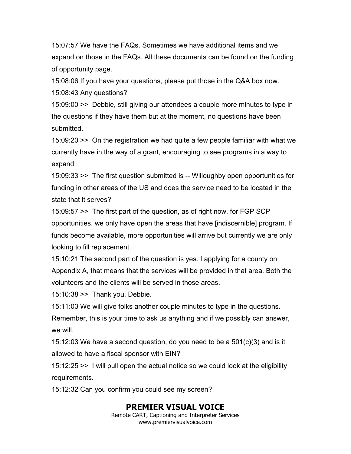15:07:57 We have the FAQs. Sometimes we have additional items and we expand on those in the FAQs. All these documents can be found on the funding of opportunity page.

15:08:06 If you have your questions, please put those in the Q&A box now. 15:08:43 Any questions?

15:09:00 >> Debbie, still giving our attendees a couple more minutes to type in the questions if they have them but at the moment, no questions have been submitted.

15:09:20 >> On the registration we had quite a few people familiar with what we currently have in the way of a grant, encouraging to see programs in a way to expand.

15:09:33 >> The first question submitted is -- Willoughby open opportunities for funding in other areas of the US and does the service need to be located in the state that it serves?

15:09:57 >> The first part of the question, as of right now, for FGP SCP opportunities, we only have open the areas that have [indiscernible] program. If funds become available, more opportunities will arrive but currently we are only looking to fill replacement.

15:10:21 The second part of the question is yes. I applying for a county on Appendix A, that means that the services will be provided in that area. Both the volunteers and the clients will be served in those areas.

15:10:38 >> Thank you, Debbie.

15:11:03 We will give folks another couple minutes to type in the questions. Remember, this is your time to ask us anything and if we possibly can answer, we will

15:12:03 We have a second question, do you need to be a 501(c)(3) and is it allowed to have a fiscal sponsor with EIN?

15:12:25 >> I will pull open the actual notice so we could look at the eligibility requirements.

15:12:32 Can you confirm you could see my screen?

## **PREMIER VISUAL VOICE**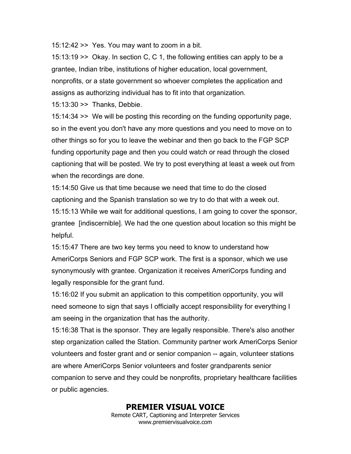15:12:42 >> Yes. You may want to zoom in a bit.

15:13:19 >> Okay. In section C, C 1, the following entities can apply to be a grantee, Indian tribe, institutions of higher education, local government, nonprofits, or a state government so whoever completes the application and assigns as authorizing individual has to fit into that organization.

15:13:30 >> Thanks, Debbie.

15:14:34 >> We will be posting this recording on the funding opportunity page, so in the event you don't have any more questions and you need to move on to other things so for you to leave the webinar and then go back to the FGP SCP funding opportunity page and then you could watch or read through the closed captioning that will be posted. We try to post everything at least a week out from when the recordings are done.

15:14:50 Give us that time because we need that time to do the closed captioning and the Spanish translation so we try to do that with a week out. 15:15:13 While we wait for additional questions, I am going to cover the sponsor, grantee [indiscernible]. We had the one question about location so this might be helpful.

15:15:47 There are two key terms you need to know to understand how AmeriCorps Seniors and FGP SCP work. The first is a sponsor, which we use synonymously with grantee. Organization it receives AmeriCorps funding and legally responsible for the grant fund.

15:16:02 If you submit an application to this competition opportunity, you will need someone to sign that says I officially accept responsibility for everything I am seeing in the organization that has the authority.

15:16:38 That is the sponsor. They are legally responsible. There's also another step organization called the Station. Community partner work AmeriCorps Senior volunteers and foster grant and or senior companion -- again, volunteer stations are where AmeriCorps Senior volunteers and foster grandparents senior companion to serve and they could be nonprofits, proprietary healthcare facilities or public agencies.

> **PREMIER VISUAL VOICE** Remote CART, Captioning and Interpreter Services www.premiervisualvoice.com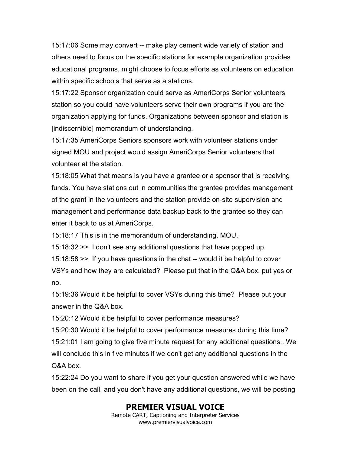15:17:06 Some may convert -- make play cement wide variety of station and others need to focus on the specific stations for example organization provides educational programs, might choose to focus efforts as volunteers on education within specific schools that serve as a stations.

15:17:22 Sponsor organization could serve as AmeriCorps Senior volunteers station so you could have volunteers serve their own programs if you are the organization applying for funds. Organizations between sponsor and station is [indiscernible] memorandum of understanding.

15:17:35 AmeriCorps Seniors sponsors work with volunteer stations under signed MOU and project would assign AmeriCorps Senior volunteers that volunteer at the station.

15:18:05 What that means is you have a grantee or a sponsor that is receiving funds. You have stations out in communities the grantee provides management of the grant in the volunteers and the station provide on-site supervision and management and performance data backup back to the grantee so they can enter it back to us at AmeriCorps.

15:18:17 This is in the memorandum of understanding, MOU.

15:18:32 >> I don't see any additional questions that have popped up.

15:18:58 >> If you have questions in the chat -- would it be helpful to cover VSYs and how they are calculated? Please put that in the Q&A box, put yes or no.

15:19:36 Would it be helpful to cover VSYs during this time? Please put your answer in the Q&A box.

15:20:12 Would it be helpful to cover performance measures?

15:20:30 Would it be helpful to cover performance measures during this time? 15:21:01 I am going to give five minute request for any additional questions.. We will conclude this in five minutes if we don't get any additional questions in the Q&A box.

15:22:24 Do you want to share if you get your question answered while we have been on the call, and you don't have any additional questions, we will be posting

# **PREMIER VISUAL VOICE**